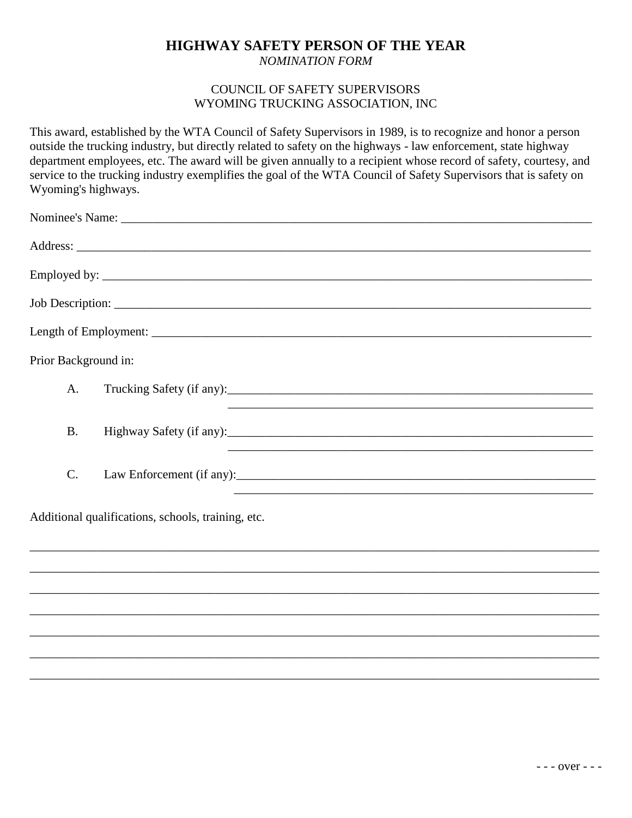## **HIGHWAY SAFETY PERSON OF THE YEAR**

*NOMINATION FORM*

## COUNCIL OF SAFETY SUPERVISORS WYOMING TRUCKING ASSOCIATION, INC

This award, established by the WTA Council of Safety Supervisors in 1989, is to recognize and honor a person outside the trucking industry, but directly related to safety on the highways - law enforcement, state highway department employees, etc. The award will be given annually to a recipient whose record of safety, courtesy, and service to the trucking industry exemplifies the goal of the WTA Council of Safety Supervisors that is safety on Wyoming's highways.

| Prior Background in:                               |                                                                                  |  |
|----------------------------------------------------|----------------------------------------------------------------------------------|--|
| A <sub>1</sub>                                     |                                                                                  |  |
| <b>B.</b>                                          |                                                                                  |  |
| $C$ .                                              |                                                                                  |  |
| Additional qualifications, schools, training, etc. |                                                                                  |  |
|                                                    | ,我们也不能在这里的,我们也不能在这里的,我们也不能在这里的,我们也不能不能不能不能不能不能不能不能不能不能。""我们,我们也不能不能不能不能不能不能不能不能不 |  |
|                                                    |                                                                                  |  |
|                                                    |                                                                                  |  |
|                                                    |                                                                                  |  |
|                                                    |                                                                                  |  |

\_\_\_\_\_\_\_\_\_\_\_\_\_\_\_\_\_\_\_\_\_\_\_\_\_\_\_\_\_\_\_\_\_\_\_\_\_\_\_\_\_\_\_\_\_\_\_\_\_\_\_\_\_\_\_\_\_\_\_\_\_\_\_\_\_\_\_\_\_\_\_\_\_\_\_\_\_\_\_\_\_\_\_\_\_\_\_\_\_\_\_\_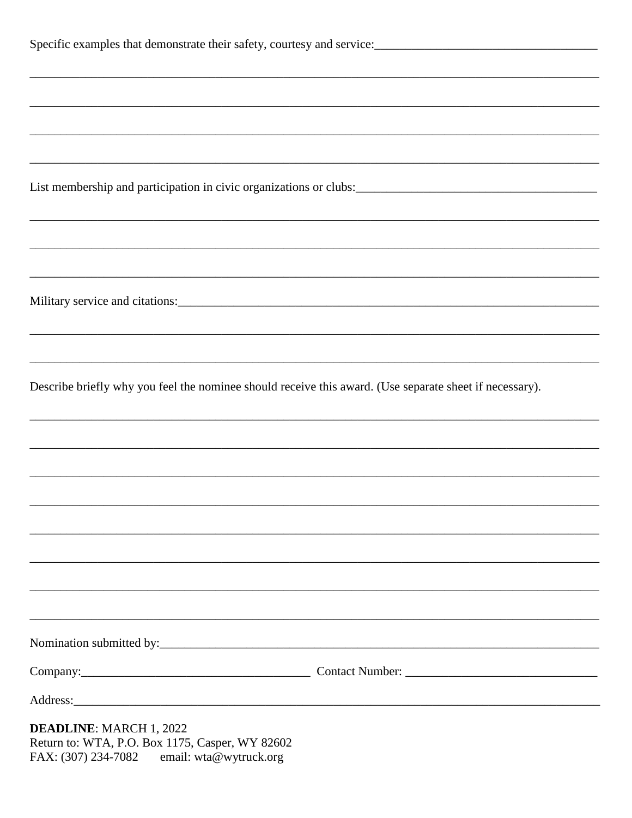| Specific examples that demonstrate their safety, courtesy and service:<br>1992.                         |                                                                                   |  |  |
|---------------------------------------------------------------------------------------------------------|-----------------------------------------------------------------------------------|--|--|
|                                                                                                         |                                                                                   |  |  |
|                                                                                                         |                                                                                   |  |  |
| ,我们也不能在这里的人,我们也不能在这里的人,我们也不能在这里的人,我们也不能在这里的人,我们也不能在这里的人,我们也不能在这里的人,我们也不能在这里的人,我们也                       |                                                                                   |  |  |
|                                                                                                         |                                                                                   |  |  |
|                                                                                                         | ,我们也不能在这里的人,我们也不能在这里的人,我们也不能在这里的人,我们也不能在这里的人,我们也不能在这里的人,我们也不能在这里的人,我们也不能在这里的人,我们也 |  |  |
|                                                                                                         |                                                                                   |  |  |
|                                                                                                         |                                                                                   |  |  |
|                                                                                                         |                                                                                   |  |  |
|                                                                                                         |                                                                                   |  |  |
| Describe briefly why you feel the nominee should receive this award. (Use separate sheet if necessary). |                                                                                   |  |  |
|                                                                                                         |                                                                                   |  |  |
|                                                                                                         |                                                                                   |  |  |
|                                                                                                         |                                                                                   |  |  |
|                                                                                                         |                                                                                   |  |  |
|                                                                                                         |                                                                                   |  |  |
|                                                                                                         |                                                                                   |  |  |
|                                                                                                         |                                                                                   |  |  |
|                                                                                                         |                                                                                   |  |  |
|                                                                                                         | Company: Company: Contact Number: Contact Number: Company:                        |  |  |
|                                                                                                         |                                                                                   |  |  |
| <b>DEADLINE: MARCH 1, 2022</b><br>Return to: WTA, P.O. Box 1175, Casper, WY 82602                       |                                                                                   |  |  |

email: wta@wytruck.org FAX: (307) 234-7082